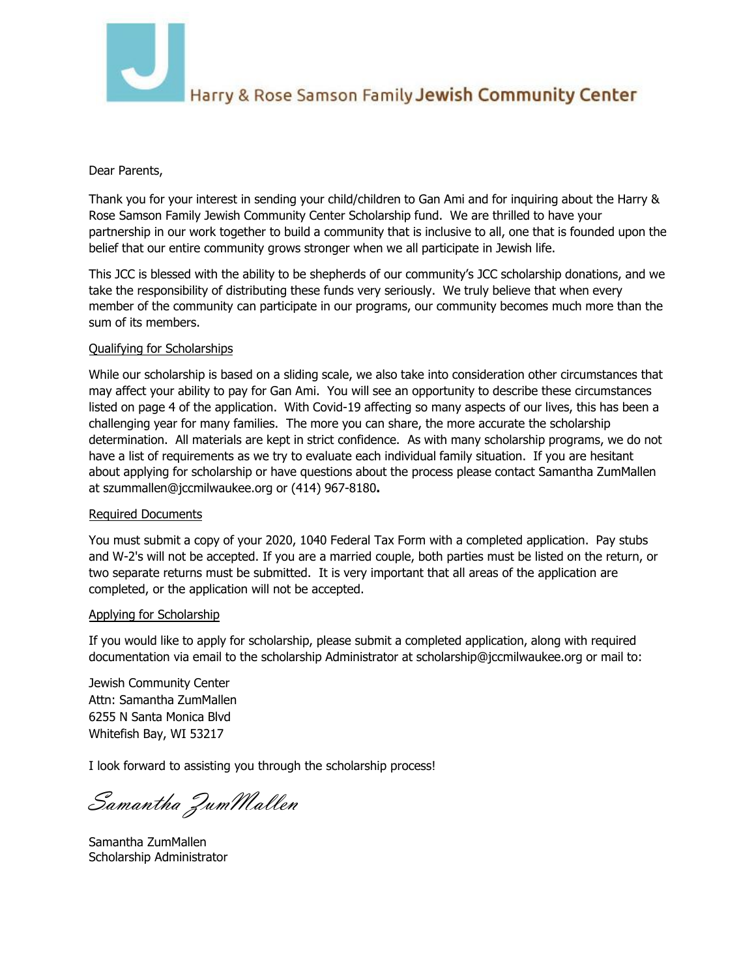

## Harry & Rose Samson Family Jewish Community Center

### Dear Parents,

Thank you for your interest in sending your child/children to Gan Ami and for inquiring about the Harry & Rose Samson Family Jewish Community Center Scholarship fund. We are thrilled to have your partnership in our work together to build a community that is inclusive to all, one that is founded upon the belief that our entire community grows stronger when we all participate in Jewish life.

This JCC is blessed with the ability to be shepherds of our community's JCC scholarship donations, and we take the responsibility of distributing these funds very seriously. We truly believe that when every member of the community can participate in our programs, our community becomes much more than the sum of its members.

### Qualifying for Scholarships

While our scholarship is based on a sliding scale, we also take into consideration other circumstances that may affect your ability to pay for Gan Ami. You will see an opportunity to describe these circumstances listed on page 4 of the application. With Covid-19 affecting so many aspects of our lives, this has been a challenging year for many families. The more you can share, the more accurate the scholarship determination. All materials are kept in strict confidence. As with many scholarship programs, we do not have a list of requirements as we try to evaluate each individual family situation. If you are hesitant about applying for scholarship or have questions about the process please contact Samantha ZumMallen at szummallen@jccmilwaukee.org or (414) 967-8180**.**

### Required Documents

You must submit a copy of your 2020, 1040 Federal Tax Form with a completed application. Pay stubs and W-2's will not be accept[ed. If you are a married couple, bot](mailto:Szummallen@jccmilwaukee.org)h parties must be listed on the return, or two separate returns must be submitted. It is very important that all areas of the application are completed, or the application will not be accepted.

### Applying for Scholarship

If you would like to apply for scholarship, please submit a completed application, along with required documentation via email to the scholarship Administrator at scholarship@jccmilwaukee.org or mail to:

Jewish Community Center A[ttn: Samantha ZumMallen](mailto:szummallen@jccmilwaukee.org)  6255 N Santa Monica Blvd Whitefish Bay, WI 53217

I look forward to assisting you through the scholarship process!

Samantha ZumMallen

Samantha ZumMallen Scholarship Administrator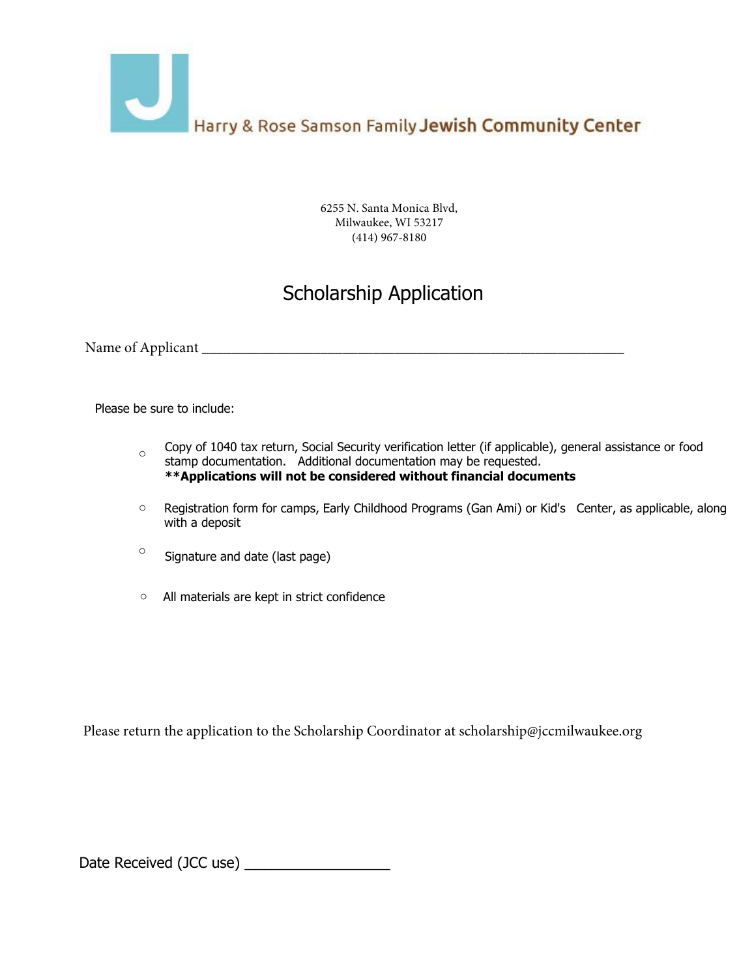

6255 N. Santa Monica Blvd, Milwaukee, WI 53217 (414) 967-8180

# Scholarship Application

Name of Applicant \_\_\_\_\_\_\_\_\_\_\_\_\_\_\_\_\_\_\_\_\_\_\_\_\_\_\_\_\_\_\_\_\_\_\_\_\_\_\_\_\_\_\_\_\_\_\_\_\_\_\_\_\_\_\_\_\_

Please be sure to include:

- Copy of 1040 tax return, Social Security verification letter (if applicable), general assistance or food stamp documentation. Additional documentation may be requested. **\*\*Applications will not be considered without financial documents** o
- Registration form for camps, Early Childhood Programs (Gan Ami) or Kid's Center, as applicable, along with a deposit o
- Signature and date (last page) o
- $\circ$  All materials are kept in strict confidence

Please return the application to the Scholarship Coordinator at scholarship@jccmilwaukee.org

Date Received (JCC use) \_\_\_\_\_\_\_\_\_\_\_\_\_\_\_\_\_\_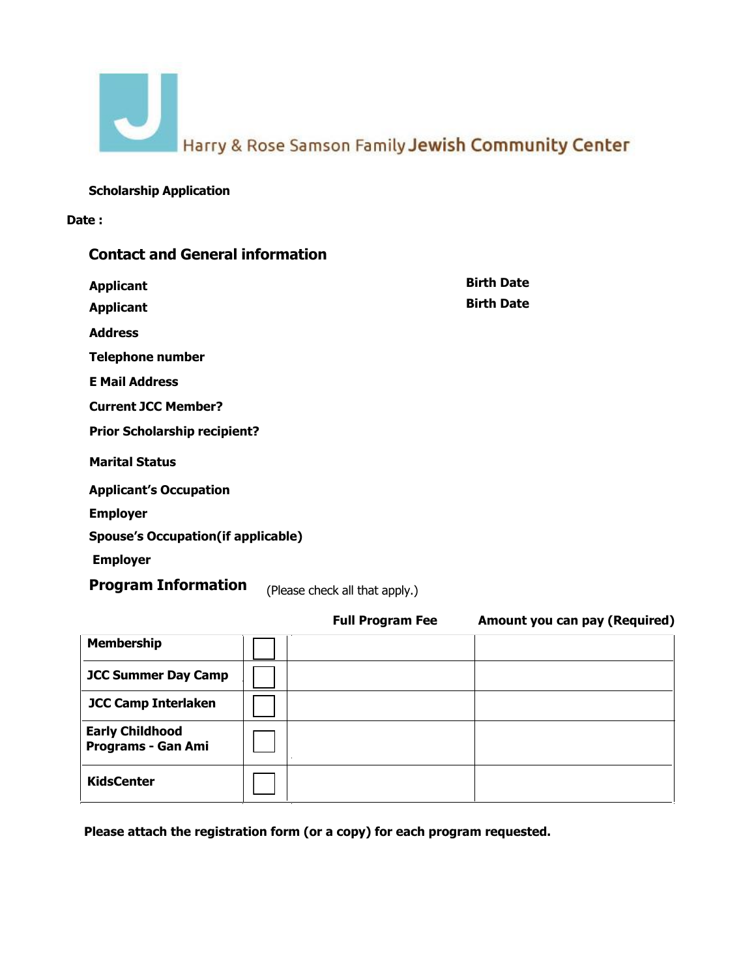Harry & Rose Samson Family Jewish Community Center

**Scholarship Application** 

**Date :** 

| <b>Contact and General information</b>                        |                   |
|---------------------------------------------------------------|-------------------|
| <b>Applicant</b>                                              | <b>Birth Date</b> |
| <b>Applicant</b>                                              | <b>Birth Date</b> |
| <b>Address</b>                                                |                   |
| <b>Telephone number</b>                                       |                   |
| <b>E Mail Address</b>                                         |                   |
| <b>Current JCC Member?</b>                                    |                   |
| <b>Prior Scholarship recipient?</b>                           |                   |
| <b>Marital Status</b>                                         |                   |
| <b>Applicant's Occupation</b>                                 |                   |
| <b>Employer</b>                                               |                   |
| <b>Spouse's Occupation(if applicable)</b>                     |                   |
| <b>Employer</b>                                               |                   |
| <b>Drogram Information <i>u u u u</i> <b><i>u u u</i></b></b> |                   |

(Please check all that apply.) **Program Information**

|                                                     | <b>Full Program Fee</b> | Amount you can pay (Required) |
|-----------------------------------------------------|-------------------------|-------------------------------|
| <b>Membership</b>                                   |                         |                               |
| <b>JCC Summer Day Camp</b>                          |                         |                               |
| <b>JCC Camp Interlaken</b>                          |                         |                               |
| <b>Early Childhood</b><br><b>Programs - Gan Ami</b> |                         |                               |
| <b>KidsCenter</b>                                   |                         |                               |

**Please attach the registration form (or a copy) for each program requested.**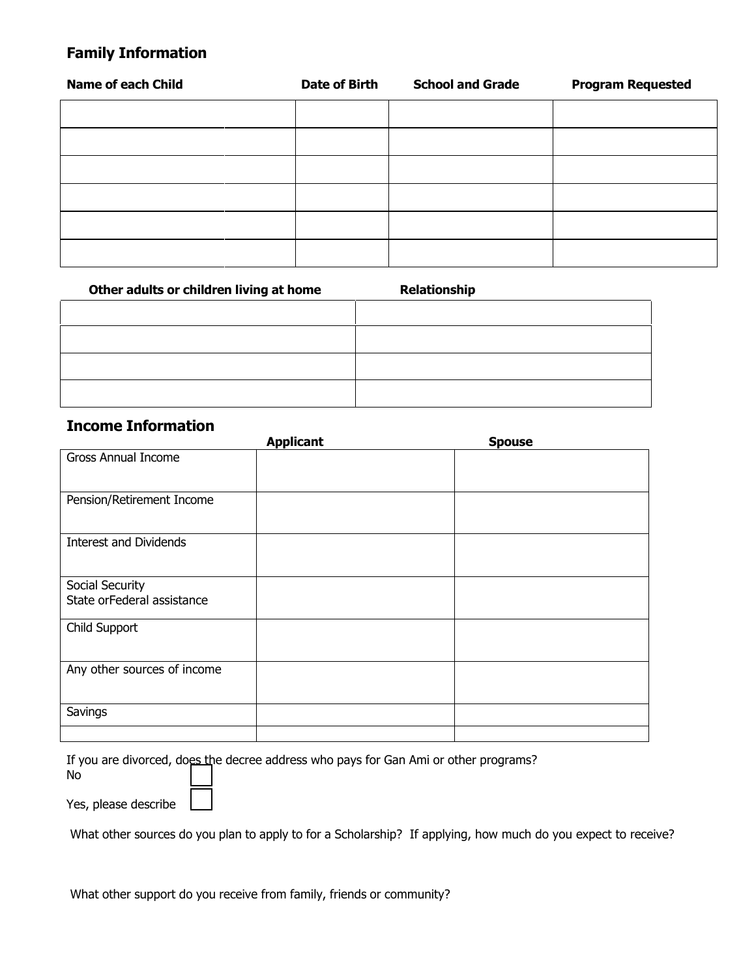### **Family Information**

| <b>Name of each Child</b> | <b>Date of Birth</b> | <b>School and Grade</b> | <b>Program Requested</b> |
|---------------------------|----------------------|-------------------------|--------------------------|
|                           |                      |                         |                          |
|                           |                      |                         |                          |
|                           |                      |                         |                          |
|                           |                      |                         |                          |
|                           |                      |                         |                          |
|                           |                      |                         |                          |

| Other adults or children living at home | <b>Relationship</b> |
|-----------------------------------------|---------------------|
|                                         |                     |
|                                         |                     |
|                                         |                     |
|                                         |                     |

### **Income Information**

|                               | <b>Applicant</b> | <b>Spouse</b> |
|-------------------------------|------------------|---------------|
| <b>Gross Annual Income</b>    |                  |               |
|                               |                  |               |
| Pension/Retirement Income     |                  |               |
|                               |                  |               |
| <b>Interest and Dividends</b> |                  |               |
|                               |                  |               |
| Social Security               |                  |               |
| State orFederal assistance    |                  |               |
| Child Support                 |                  |               |
|                               |                  |               |
| Any other sources of income   |                  |               |
|                               |                  |               |
| Savings                       |                  |               |
|                               |                  |               |

If you are divorced, does the decree address who pays for Gan Ami or other programs?

No

Yes, please describe

What other sources do you plan to apply to for a Scholarship? If applying, how much do you expect to receive?

| What other support do you receive from family, friends or community? |  |
|----------------------------------------------------------------------|--|
|                                                                      |  |